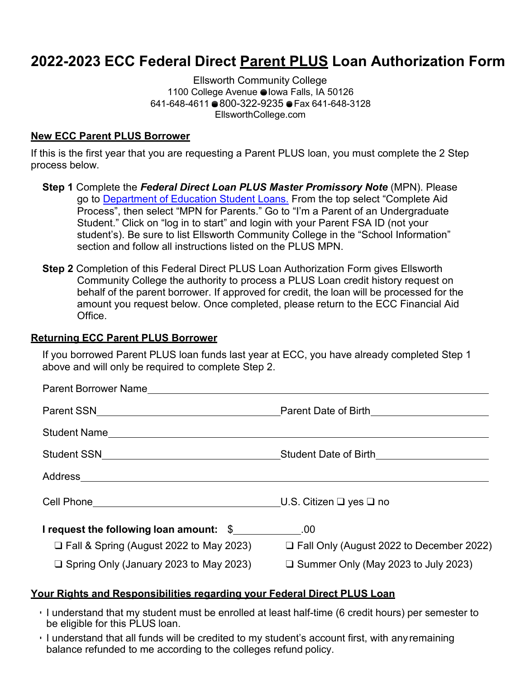# **2022-2023 ECC Federal Direct Parent PLUS Loan Authorization Form**

1100 College Avenue ● Iowa Falls, IA 50126 641-648-4611 800-322-9235 Fax 641-648-3128 Ellsworth Community College [EllsworthCollege.com](https://ellsworthcollege.com/)

### **New ECC Parent PLUS Borrower**

If this is the first year that you are requesting a Parent PLUS loan, you must complete the 2 Step process below.

- **Step 1** Complete the *Federal Direct Loan PLUS Master Promissory Note* (MPN). Please go to [Department of Education Student Loans.](http://www.studentaid.gov/) From the top select "Complete Aid Process", then select "MPN for Parents." Go to "I'm a Parent of an Undergraduate Student." Click on "log in to start" and login with your Parent FSA ID (not your student's). Be sure to list Ellsworth Community College in the "School Information" section and follow all instructions listed on the PLUS MPN.
- **Step 2** Completion of this Federal Direct PLUS Loan Authorization Form gives Ellsworth Community College the authority to process a PLUS Loan credit history request on behalf of the parent borrower. If approved for credit, the loan will be processed for the amount you request below. Once completed, please return to the ECC Financial Aid Office.

#### **Returning ECC Parent PLUS Borrower**

If you borrowed Parent PLUS loan funds last year at ECC, you have already completed Step 1 above and will only be required to complete Step 2.

| Parent Borrower Name and the contract of the contract of the contract of the contract of the contract of the contract of the contract of the contract of the contract of the contract of the contract of the contract of the c |                                            |
|--------------------------------------------------------------------------------------------------------------------------------------------------------------------------------------------------------------------------------|--------------------------------------------|
| Parent SSN Parent Date of Birth                                                                                                                                                                                                |                                            |
|                                                                                                                                                                                                                                |                                            |
|                                                                                                                                                                                                                                |                                            |
|                                                                                                                                                                                                                                |                                            |
| Cell Phone U.S. Citizen □ yes □ no                                                                                                                                                                                             |                                            |
| <b>I</b> request the following loan amount: \$                                                                                                                                                                                 |                                            |
| $\Box$ Fall & Spring (August 2022 to May 2023)                                                                                                                                                                                 | □ Fall Only (August 2022 to December 2022) |
| $\Box$ Spring Only (January 2023 to May 2023)                                                                                                                                                                                  | $\Box$ Summer Only (May 2023 to July 2023) |

## **Your Rights and Responsibilities regarding your Federal Direct PLUS Loan**

- I understand that my student must be enrolled at least half-time (6 credit hours) per semester to be eligible for this PLUS loan.
- I understand that all funds will be credited to my student's account first, with anyremaining balance refunded to me according to the colleges refund policy.